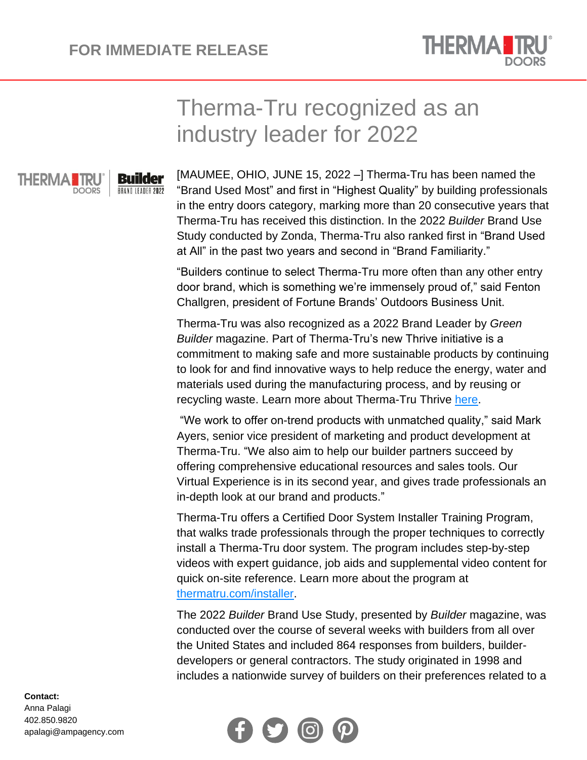

## Therma-Tru recognized as an industry leader for 2022



**Builder** BRAND LEADER 2022 [MAUMEE, OHIO, JUNE 15, 2022 –] Therma-Tru has been named the "Brand Used Most" and first in "Highest Quality" by building professionals in the entry doors category, marking more than 20 consecutive years that Therma-Tru has received this distinction. In the 2022 *Builder* Brand Use Study conducted by Zonda, Therma-Tru also ranked first in "Brand Used at All" in the past two years and second in "Brand Familiarity."

"Builders continue to select Therma-Tru more often than any other entry door brand, which is something we're immensely proud of," said Fenton Challgren, president of Fortune Brands' Outdoors Business Unit.

Therma-Tru was also recognized as a 2022 Brand Leader by *Green Builder* magazine. Part of Therma-Tru's new Thrive initiative is a commitment to making safe and more sustainable products by continuing to look for and find innovative ways to help reduce the energy, water and materials used during the manufacturing process, and by reusing or recycling waste. Learn more about Therma-Tru Thrive [here.](https://www.thermatru.com/thrive)

"We work to offer on-trend products with unmatched quality," said Mark Ayers, senior vice president of marketing and product development at Therma-Tru. "We also aim to help our builder partners succeed by offering comprehensive educational resources and sales tools. Our Virtual Experience is in its second year, and gives trade professionals an in-depth look at our brand and products."

Therma-Tru offers a Certified Door System Installer Training Program, that walks trade professionals through the proper techniques to correctly install a Therma-Tru door system. The program includes step-by-step videos with expert guidance, job aids and supplemental video content for quick on-site reference. Learn more about the program at [thermatru.com/installer.](https://www.thermatru.com/installer)

The 2022 *Builder* Brand Use Study, presented by *Builder* magazine, was conducted over the course of several weeks with builders from all over the United States and included 864 responses from builders, builderdevelopers or general contractors. The study originated in 1998 and includes a nationwide survey of builders on their preferences related to a



## **Contact:** Anna Palagi

402.850.9820 apalagi@ampagency.com